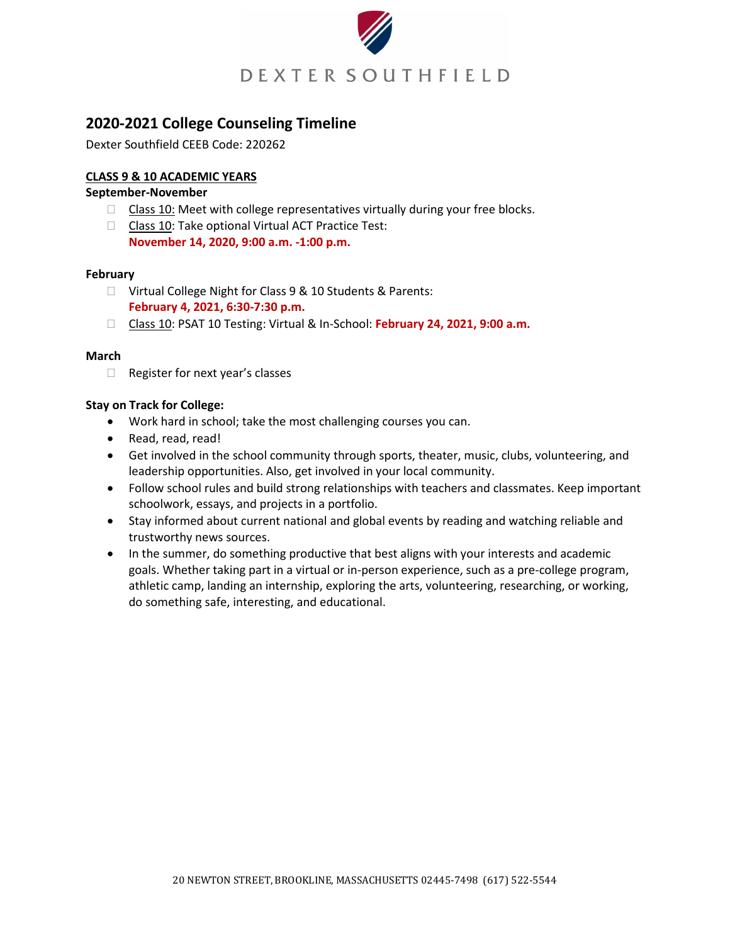

# **2020-2021 College Counseling Timeline**

Dexter Southfield CEEB Code: 220262

# **CLASS 9 & 10 ACADEMIC YEARS**

# **September-November**

- $\Box$  Class 10: Meet with college representatives virtually during your free blocks.
- $\Box$  Class 10: Take optional Virtual ACT Practice Test: **November 14, 2020, 9:00 a.m. -1:00 p.m.**

#### **February**

- □ Virtual College Night for Class 9 & 10 Students & Parents: **February 4, 2021, 6:30-7:30 p.m.**
- Class 10: PSAT 10 Testing: Virtual & In-School: **February 24, 2021, 9:00 a.m.**

#### **March**

□ Register for next year's classes

# **Stay on Track for College:**

- Work hard in school; take the most challenging courses you can.
- Read, read, read!
- Get involved in the school community through sports, theater, music, clubs, volunteering, and leadership opportunities. Also, get involved in your local community.
- Follow school rules and build strong relationships with teachers and classmates. Keep important schoolwork, essays, and projects in a portfolio.
- Stay informed about current national and global events by reading and watching reliable and trustworthy news sources.
- In the summer, do something productive that best aligns with your interests and academic goals. Whether taking part in a virtual or in-person experience, such as a pre-college program, athletic camp, landing an internship, exploring the arts, volunteering, researching, or working, do something safe, interesting, and educational.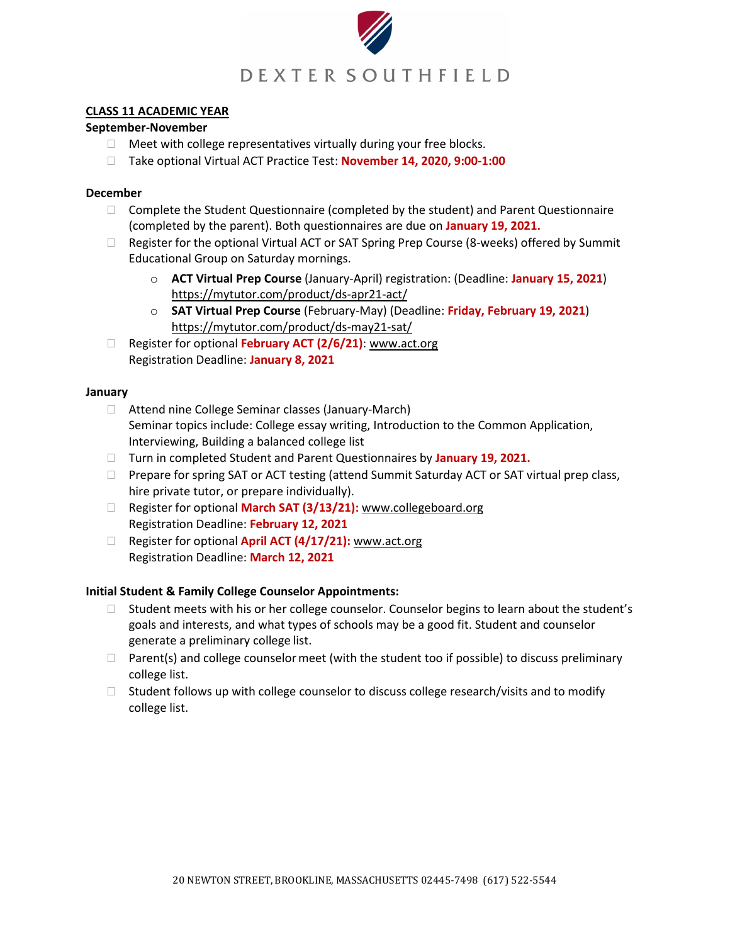

## **CLASS 11 ACADEMIC YEAR**

## **September-November**

- $\Box$  Meet with college representatives virtually during your free blocks.
- Take optional Virtual ACT Practice Test: **November 14, 2020, 9:00-1:00**

#### **December**

- $\Box$  Complete the Student Questionnaire (completed by the student) and Parent Questionnaire (completed by the parent). Both questionnaires are due on **January 19, 2021.**
- $\Box$  Register for the optional Virtual ACT or SAT Spring Prep Course (8-weeks) offered by Summit Educational Group on Saturday mornings.
	- o **ACT Virtual Prep Course** (January-April) registration: (Deadline: **January 15, 2021**) https://mytutor.com/product/ds-apr21-act/
	- o **SAT Virtual Prep Course** (February-May) (Deadline: **Friday, February 19, 2021**) https://mytutor.com/product/ds-may21-sat/
- Register for optional **February ACT (2/6/21)**: www.act.org Registration Deadline: **January 8, 2021**

#### **January**

- □ Attend nine College Seminar classes (January-March) Seminar topics include: College essay writing, Introduction to the Common Application, Interviewing, Building a balanced college list
- Turn in completed Student and Parent Questionnaires by **January 19, 2021.**
- $\Box$  Prepare for spring SAT or ACT testing (attend Summit Saturday ACT or SAT virtual prep class, hire private tutor, or prepare individually).
- Register for optional **March SAT (3/13/21):** [www.collegeboard.org](http://www.collegeboard.org/) Registration Deadline: **February 12, 2021**
- □ Register for optional **April ACT (4/17/21):** www.act.org Registration Deadline: **March 12, 2021**

# **Initial Student & Family College Counselor Appointments:**

- $\Box$  Student meets with his or her college counselor. Counselor begins to learn about the student's goals and interests, and what types of schools may be a good fit. Student and counselor generate a preliminary college list.
- $\Box$  Parent(s) and college counselor meet (with the student too if possible) to discuss preliminary college list.
- $\Box$  Student follows up with college counselor to discuss college research/visits and to modify college list.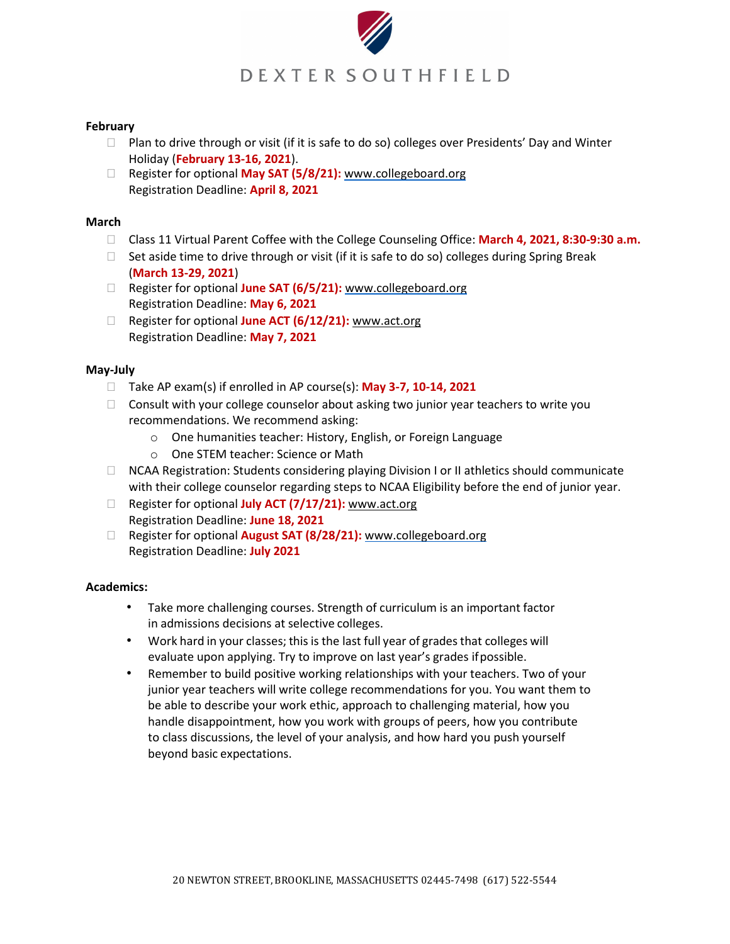

## **February**

- □ Plan to drive through or visit (if it is safe to do so) colleges over Presidents' Day and Winter Holiday (**February 13-16, 2021**).
- □ Register for optional May SAT (5/8/21): [www.collegeboard.org](http://www.collegeboard.org/) Registration Deadline: **April 8, 2021**

#### **March**

- Class 11 Virtual Parent Coffee with the College Counseling Office: **March 4, 2021, 8:30-9:30 a.m.**
- $\Box$  Set aside time to drive through or visit (if it is safe to do so) colleges during Spring Break (**March 13-29, 2021**)
- Register for optional **June SAT (6/5/21):** [www.collegeboard.org](http://www.collegeboard.org/) Registration Deadline: **May 6, 2021**
- Register for optional **June ACT (6/12/21):** www.act.org Registration Deadline: **May 7, 2021**

## **May-July**

- Take AP exam(s) if enrolled in AP course(s): **May 3-7, 10-14, 2021**
- $\Box$  Consult with your college counselor about asking two junior year teachers to write you recommendations. We recommend asking:
	- o One humanities teacher: History, English, or Foreign Language
	- o One STEM teacher: Science or Math
- □ NCAA Registration: Students considering playing Division I or II athletics should communicate with their college counselor regarding steps to NCAA Eligibility before the end of junior year.
- □ Register for optional **July ACT (7/17/21):** www.act.org Registration Deadline: **June 18, 2021**
- Register for optional **August SAT (8/28/21):** [www.collegeboard.org](http://www.collegeboard.org/) Registration Deadline: **July 2021**

#### **Academics:**

- Take more challenging courses. Strength of curriculum is an important factor in admissions decisions at selective colleges.
- Work hard in your classes; this is the last full year of grades that colleges will evaluate upon applying. Try to improve on last year's grades ifpossible.
- Remember to build positive working relationships with your teachers. Two of your junior year teachers will write college recommendations for you. You want them to be able to describe your work ethic, approach to challenging material, how you handle disappointment, how you work with groups of peers, how you contribute to class discussions, the level of your analysis, and how hard you push yourself beyond basic expectations.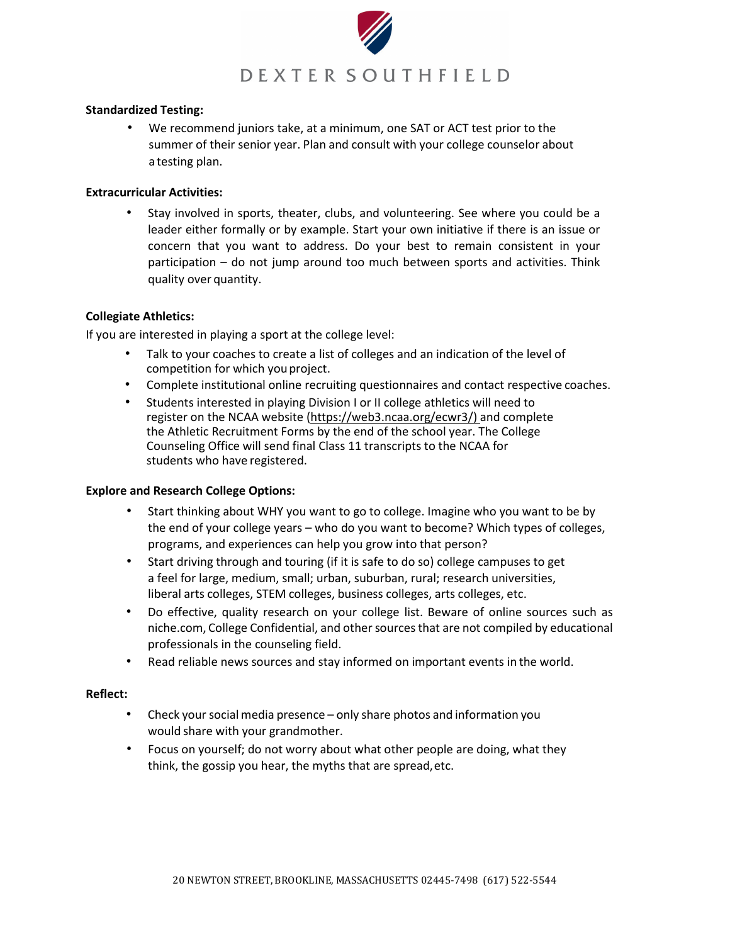

## **Standardized Testing:**

• We recommend juniors take, at a minimum, one SAT or ACT test prior to the summer of their senior year. Plan and consult with your college counselor about a testing plan.

## **Extracurricular Activities:**

• Stay involved in sports, theater, clubs, and volunteering. See where you could be a leader either formally or by example. Start your own initiative if there is an issue or concern that you want to address. Do your best to remain consistent in your participation – do not jump around too much between sports and activities. Think quality over quantity.

## **Collegiate Athletics:**

If you are interested in playing a sport at the college level:

- Talk to your coaches to create a list of colleges and an indication of the level of competition for which youproject.
- Complete institutional online recruiting questionnaires and contact respective coaches.
- Students interested in playing Division I or II college athletics will need to register on the NCAA website (https://web3.ncaa.org/ecwr3/) and complete the Athletic Recruitment Forms by the end of the school year. The College Counseling Office will send final Class 11 transcripts to the NCAA for students who have registered.

#### **Explore and Research College Options:**

- Start thinking about WHY you want to go to college. Imagine who you want to be by the end of your college years – who do you want to become? Which types of colleges, programs, and experiences can help you grow into that person?
- Start driving through and touring (if it is safe to do so) college campuses to get a feel for large, medium, small; urban, suburban, rural; research universities, liberal arts colleges, STEM colleges, business colleges, arts colleges, etc.
- Do effective, quality research on your college list. Beware of online sources such as niche.com, College Confidential, and other sources that are not compiled by educational professionals in the counseling field.
- Read reliable news sources and stay informed on important events in the world.

#### **Reflect:**

- Check yoursocial media presence only share photos and information you would share with your grandmother.
- Focus on yourself; do not worry about what other people are doing, what they think, the gossip you hear, the myths that are spread,etc.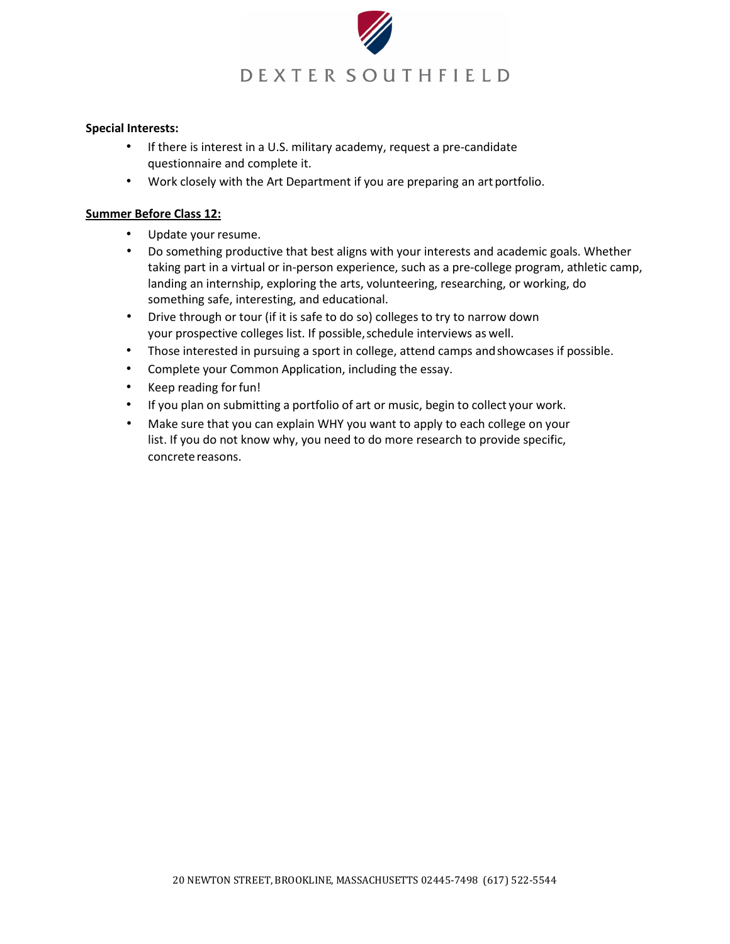

## **Special Interests:**

- If there is interest in a U.S. military academy, request a pre-candidate questionnaire and complete it.
- Work closely with the Art Department if you are preparing an art portfolio.

## **Summer Before Class 12:**

- Update your resume.
- Do something productive that best aligns with your interests and academic goals. Whether taking part in a virtual or in-person experience, such as a pre-college program, athletic camp, landing an internship, exploring the arts, volunteering, researching, or working, do something safe, interesting, and educational.
- Drive through or tour (if it is safe to do so) colleges to try to narrow down your prospective colleges list. If possible,schedule interviews as well.
- Those interested in pursuing a sport in college, attend camps andshowcases if possible.
- Complete your Common Application, including the essay.
- Keep reading forfun!
- If you plan on submitting a portfolio of art or music, begin to collect your work.
- Make sure that you can explain WHY you want to apply to each college on your list. If you do not know why, you need to do more research to provide specific, concrete reasons.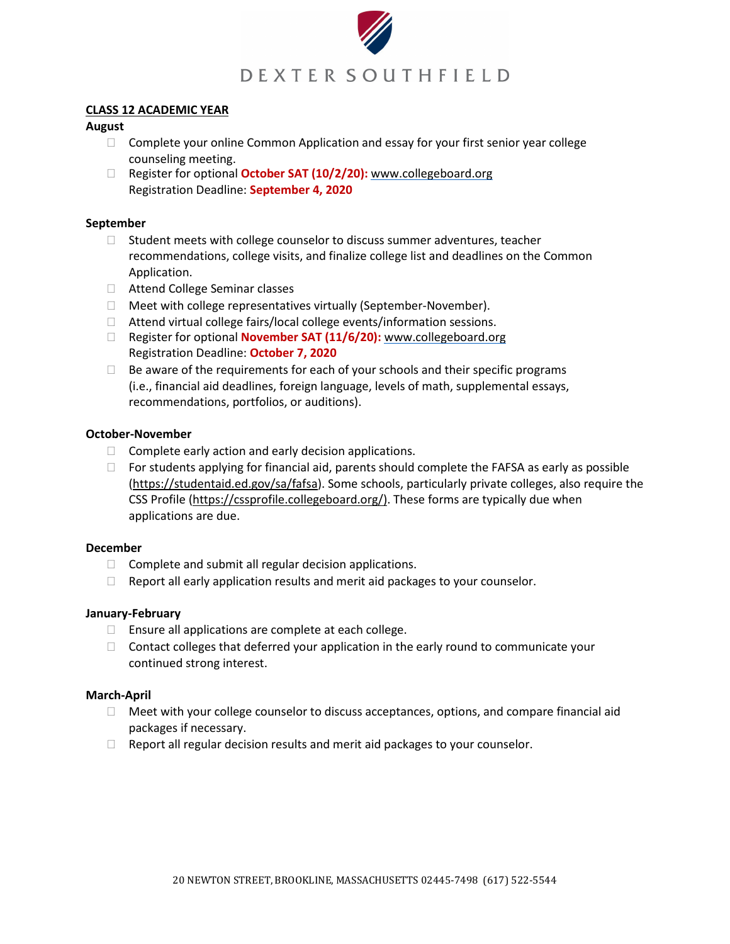

#### **CLASS 12 ACADEMIC YEAR**

## **August**

- $\Box$  Complete your online Common Application and essay for your first senior year college counseling meeting.
- Register for optional **October SAT (10/2/20):** [www.collegeboard.org](http://www.collegeboard.org/) Registration Deadline: **September 4, 2020**

# **September**

- $\Box$  Student meets with college counselor to discuss summer adventures, teacher recommendations, college visits, and finalize college list and deadlines on the Common Application.
- □ Attend College Seminar classes
- □ Meet with college representatives virtually (September-November).
- Attend virtual college fairs/local college events/information sessions.
- Register for optional **November SAT (11/6/20):** [www.collegeboard.org](http://www.collegeboard.org/) Registration Deadline: **October 7, 2020**
- $\Box$  Be aware of the requirements for each of your schools and their specific programs (i.e., financial aid deadlines, foreign language, levels of math, supplemental essays, recommendations, portfolios, or auditions).

## **October-November**

- $\Box$  Complete early action and early decision applications.
- $\Box$  For students applying for financial aid, parents should complete the FAFSA as early as possible (https://studentaid.ed.gov/sa/fafsa). Some schools, particularly private colleges, also require the CSS Profile (https://cssprofile.collegeboard.org/). These forms are typically due when applications are due.

# **December**

- $\Box$  Complete and submit all regular decision applications.
- $\Box$  Report all early application results and merit aid packages to your counselor.

# **January-February**

- $\Box$  Ensure all applications are complete at each college.
- $\Box$  Contact colleges that deferred your application in the early round to communicate your continued strong interest.

# **March-April**

- $\Box$  Meet with your college counselor to discuss acceptances, options, and compare financial aid packages if necessary.
- $\Box$  Report all regular decision results and merit aid packages to your counselor.